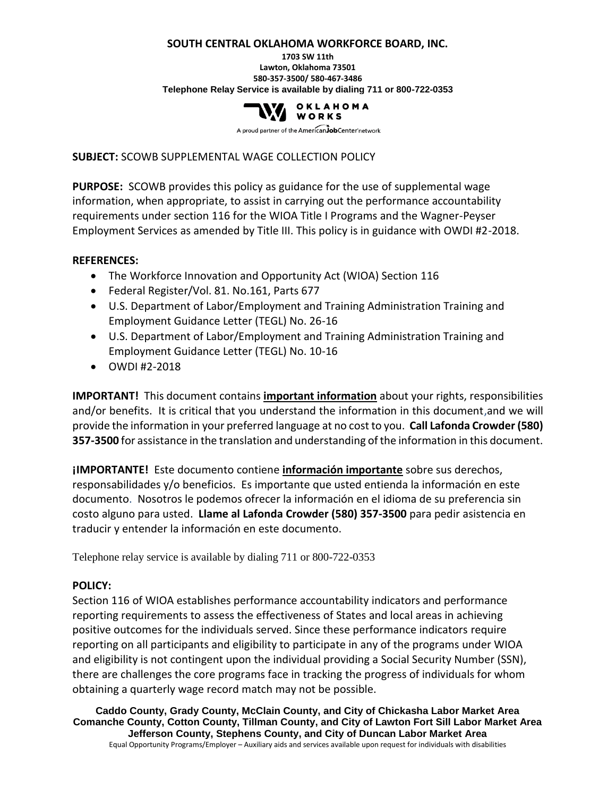#### **SOUTH CENTRAL OKLAHOMA WORKFORCE BOARD, INC.**

#### **1703 SW 11th Lawton, Oklahoma 73501 580-357-3500/ 580-467-3486 Telephone Relay Service is available by dialing 711 or 800-722-0353**



A proud partner of the AmericanJobCenter network

## **SUBJECT:** SCOWB SUPPLEMENTAL WAGE COLLECTION POLICY

**PURPOSE:** SCOWB provides this policy as guidance for the use of supplemental wage information, when appropriate, to assist in carrying out the performance accountability requirements under section 116 for the WIOA Title I Programs and the Wagner-Peyser Employment Services as amended by Title III. This policy is in guidance with OWDI #2-2018.

## **REFERENCES:**

- The Workforce Innovation and Opportunity Act (WIOA) Section 116
- Federal Register/Vol. 81. No.161, Parts 677
- U.S. Department of Labor/Employment and Training Administration Training and Employment Guidance Letter (TEGL) No. 26-16
- U.S. Department of Labor/Employment and Training Administration Training and Employment Guidance Letter (TEGL) No. 10-16
- OWDI #2-2018

**IMPORTANT!** This document contains **important information** about your rights, responsibilities and/or benefits. It is critical that you understand the information in this document,and we will provide the information in your preferred language at no cost to you. **Call Lafonda Crowder (580) 357-3500** for assistance in the translation and understanding of the information in this document.

**¡IMPORTANTE!** Este documento contiene **información importante** sobre sus derechos, responsabilidades y/o beneficios. Es importante que usted entienda la información en este documento. Nosotros le podemos ofrecer la información en el idioma de su preferencia sin costo alguno para usted. **Llame al Lafonda Crowder (580) 357-3500** para pedir asistencia en traducir y entender la información en este documento.

Telephone relay service is available by dialing 711 or 800-722-0353

# **POLICY:**

Section 116 of WIOA establishes performance accountability indicators and performance reporting requirements to assess the effectiveness of States and local areas in achieving positive outcomes for the individuals served. Since these performance indicators require reporting on all participants and eligibility to participate in any of the programs under WIOA and eligibility is not contingent upon the individual providing a Social Security Number (SSN), there are challenges the core programs face in tracking the progress of individuals for whom obtaining a quarterly wage record match may not be possible.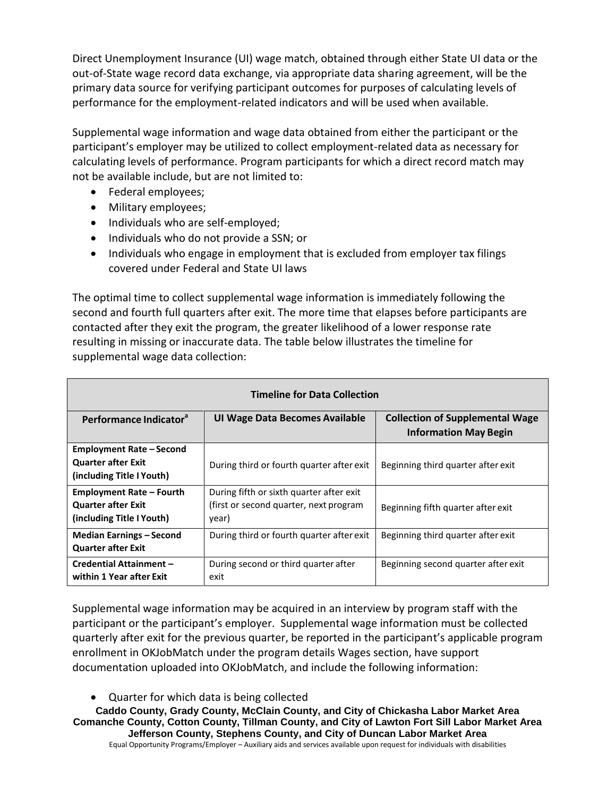Direct Unemployment Insurance (UI) wage match, obtained through either State UI data or the out-of-State wage record data exchange, via appropriate data sharing agreement, will be the primary data source for verifying participant outcomes for purposes of calculating levels of performance for the employment-related indicators and will be used when available.

Supplemental wage information and wage data obtained from either the participant or the participant's employer may be utilized to collect employment-related data as necessary for calculating levels of performance. Program participants for which a direct record match may not be available include, but are not limited to:

- Federal employees;
- Military employees;
- Individuals who are self-employed;
- Individuals who do not provide a SSN; or
- Individuals who engage in employment that is excluded from employer tax filings covered under Federal and State UI laws

The optimal time to collect supplemental wage information is immediately following the second and fourth full quarters after exit. The more time that elapses before participants are contacted after they exit the program, the greater likelihood of a lower response rate resulting in missing or inaccurate data. The table below illustrates the timeline for supplemental wage data collection:

| <b>Timeline for Data Collection</b>                                                       |                                                                                              |                                                                        |  |  |  |  |  |  |
|-------------------------------------------------------------------------------------------|----------------------------------------------------------------------------------------------|------------------------------------------------------------------------|--|--|--|--|--|--|
| Performance Indicator <sup>a</sup>                                                        | UI Wage Data Becomes Available                                                               | <b>Collection of Supplemental Wage</b><br><b>Information May Begin</b> |  |  |  |  |  |  |
| <b>Employment Rate - Second</b><br><b>Quarter after Exit</b><br>(including Title I Youth) | During third or fourth quarter after exit                                                    | Beginning third quarter after exit                                     |  |  |  |  |  |  |
| <b>Employment Rate - Fourth</b><br><b>Quarter after Exit</b><br>(including Title I Youth) | During fifth or sixth quarter after exit<br>(first or second quarter, next program)<br>year) | Beginning fifth quarter after exit                                     |  |  |  |  |  |  |
| <b>Median Earnings - Second</b><br><b>Quarter after Exit</b>                              | During third or fourth quarter after exit                                                    | Beginning third quarter after exit                                     |  |  |  |  |  |  |
| Credential Attainment -<br>within 1 Year after Exit                                       | During second or third quarter after<br>exit                                                 | Beginning second quarter after exit                                    |  |  |  |  |  |  |

Supplemental wage information may be acquired in an interview by program staff with the participant or the participant's employer. Supplemental wage information must be collected quarterly after exit for the previous quarter, be reported in the participant's applicable program enrollment in OKJobMatch under the program details Wages section, have support documentation uploaded into OKJobMatch, and include the following information:

• Quarter for which data is being collected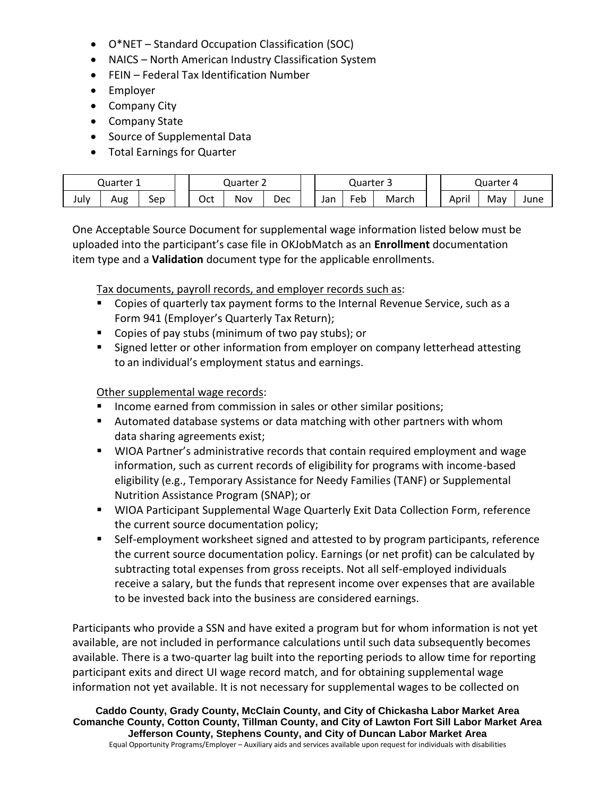- O\*NET Standard Occupation Classification (SOC)
- NAICS North American Industry Classification System
- FEIN Federal Tax Identification Number
- Employer
- Company City
- Company State
- Source of Supplemental Data
- Total Earnings for Quarter

| Quarter |     | Quarter 2 |     | Quarter<br>- |     |     | Quarter |       |       |     |      |
|---------|-----|-----------|-----|--------------|-----|-----|---------|-------|-------|-----|------|
| July    | Aug | Sep       | Oct | Nov          | Dec | Jan | eb      | March | April | Mav | June |

One Acceptable Source Document for supplemental wage information listed below must be uploaded into the participant's case file in OKJobMatch as an **Enrollment** documentation item type and a **Validation** document type for the applicable enrollments.

Tax documents, payroll records, and employer records such as:

- Copies of quarterly tax payment forms to the Internal Revenue Service, such as a Form 941 (Employer's Quarterly Tax Return);
- Copies of pay stubs (minimum of two pay stubs); or
- Signed letter or other information from employer on company letterhead attesting to an individual's employment status and earnings.

## Other supplemental wage records:

- Income earned from commission in sales or other similar positions;
- Automated database systems or data matching with other partners with whom data sharing agreements exist;
- WIOA Partner's administrative records that contain required employment and wage information, such as current records of eligibility for programs with income-based eligibility (e.g., Temporary Assistance for Needy Families (TANF) or Supplemental Nutrition Assistance Program (SNAP); or
- **WIOA Participant Supplemental Wage Quarterly Exit Data Collection Form, reference** the current source documentation policy;
- Self-employment worksheet signed and attested to by program participants, reference the current source documentation policy. Earnings (or net profit) can be calculated by subtracting total expenses from gross receipts. Not all self-employed individuals receive a salary, but the funds that represent income over expenses that are available to be invested back into the business are considered earnings.

Participants who provide a SSN and have exited a program but for whom information is not yet available, are not included in performance calculations until such data subsequently becomes available. There is a two-quarter lag built into the reporting periods to allow time for reporting participant exits and direct UI wage record match, and for obtaining supplemental wage information not yet available. It is not necessary for supplemental wages to be collected on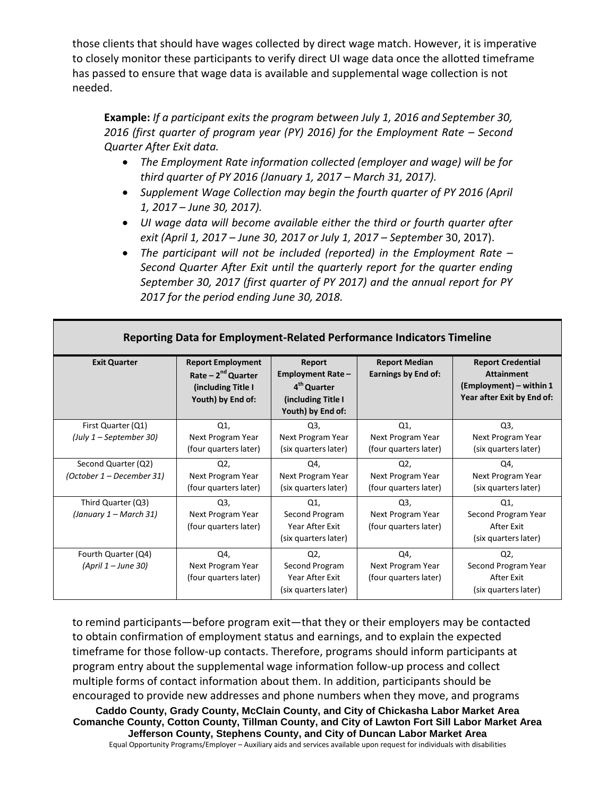those clients that should have wages collected by direct wage match. However, it is imperative to closely monitor these participants to verify direct UI wage data once the allotted timeframe has passed to ensure that wage data is available and supplemental wage collection is not needed.

**Example:** *If a participant exits the program between July 1, 2016 and September 30, 2016 (first quarter of program year (PY) 2016) for the Employment Rate – Second Quarter After Exit data.* 

- *The Employment Rate information collected (employer and wage) will be for third quarter of PY 2016 (January 1, 2017 – March 31, 2017).*
- *Supplement Wage Collection may begin the fourth quarter of PY 2016 (April 1, 2017 – June 30, 2017).*
- *UI wage data will become available either the third or fourth quarter after exit (April 1, 2017 – June 30, 2017 or July 1, 2017 – September* 30, 2017).
- *The participant will not be included (reported) in the Employment Rate – Second Quarter After Exit until the quarterly report for the quarter ending September 30, 2017 (first quarter of PY 2017) and the annual report for PY 2017 for the period ending June 30, 2018.*

| <b>Exit Quarter</b>                              | <b>Report Employment</b><br>Rate $-2nd$ Quarter<br>(including Title I<br>Youth) by End of: | Report<br><b>Employment Rate -</b><br>4 <sup>th</sup> Quarter<br>(including Title I<br>Youth) by End of: | <b>Report Median</b><br>Earnings by End of:                  | <b>Report Credential</b><br><b>Attainment</b><br>(Employment) – within 1<br>Year after Exit by End of: |
|--------------------------------------------------|--------------------------------------------------------------------------------------------|----------------------------------------------------------------------------------------------------------|--------------------------------------------------------------|--------------------------------------------------------------------------------------------------------|
| First Quarter (Q1)<br>(July 1 – September 30)    | Q1,<br>Next Program Year<br>(four quarters later)                                          | Q3,<br>Next Program Year<br>(six quarters later)                                                         | Q1<br>Next Program Year<br>(four quarters later)             | Q <sub>3</sub><br>Next Program Year<br>(six quarters later)                                            |
| Second Quarter (Q2)<br>(October 1 – December 31) | Q2,<br>Next Program Year<br>(four quarters later)                                          | Q4,<br>Next Program Year<br>(six quarters later)                                                         | Q2,<br>Next Program Year<br>(four quarters later)            | Q4,<br>Next Program Year<br>(six quarters later)                                                       |
| Third Quarter (Q3)<br>(January 1 – March 31)     | Q <sub>3</sub><br>Next Program Year<br>(four quarters later)                               | Q1<br>Second Program<br>Year After Exit<br>(six quarters later)                                          | Q <sub>3</sub><br>Next Program Year<br>(four quarters later) | Q1,<br>Second Program Year<br>After Exit<br>(six quarters later)                                       |
| Fourth Quarter (Q4)<br>(April 1 – June 30)       | Q4,<br>Next Program Year<br>(four quarters later)                                          | Q2,<br>Second Program<br>Year After Exit<br>(six quarters later)                                         | Q4,<br>Next Program Year<br>(four quarters later)            | Q2,<br>Second Program Year<br>After Exit<br>(six quarters later)                                       |

## **Reporting Data for Employment-Related Performance Indicators Timeline**

to remind participants—before program exit—that they or their employers may be contacted to obtain confirmation of employment status and earnings, and to explain the expected timeframe for those follow-up contacts. Therefore, programs should inform participants at program entry about the supplemental wage information follow-up process and collect multiple forms of contact information about them. In addition, participants should be encouraged to provide new addresses and phone numbers when they move, and programs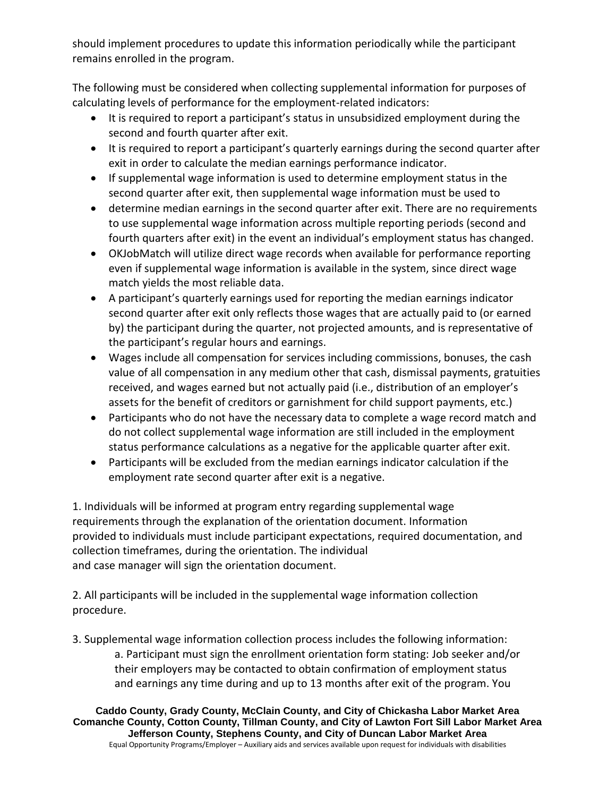should implement procedures to update this information periodically while the participant remains enrolled in the program.

The following must be considered when collecting supplemental information for purposes of calculating levels of performance for the employment-related indicators:

- It is required to report a participant's status in unsubsidized employment during the second and fourth quarter after exit.
- It is required to report a participant's quarterly earnings during the second quarter after exit in order to calculate the median earnings performance indicator.
- If supplemental wage information is used to determine employment status in the second quarter after exit, then supplemental wage information must be used to
- determine median earnings in the second quarter after exit. There are no requirements to use supplemental wage information across multiple reporting periods (second and fourth quarters after exit) in the event an individual's employment status has changed.
- OKJobMatch will utilize direct wage records when available for performance reporting even if supplemental wage information is available in the system, since direct wage match yields the most reliable data.
- A participant's quarterly earnings used for reporting the median earnings indicator second quarter after exit only reflects those wages that are actually paid to (or earned by) the participant during the quarter, not projected amounts, and is representative of the participant's regular hours and earnings.
- Wages include all compensation for services including commissions, bonuses, the cash value of all compensation in any medium other that cash, dismissal payments, gratuities received, and wages earned but not actually paid (i.e., distribution of an employer's assets for the benefit of creditors or garnishment for child support payments, etc.)
- Participants who do not have the necessary data to complete a wage record match and do not collect supplemental wage information are still included in the employment status performance calculations as a negative for the applicable quarter after exit.
- Participants will be excluded from the median earnings indicator calculation if the employment rate second quarter after exit is a negative.

1. Individuals will be informed at program entry regarding supplemental wage requirements through the explanation of the orientation document. Information provided to individuals must include participant expectations, required documentation, and collection timeframes, during the orientation. The individual and case manager will sign the orientation document.

2. All participants will be included in the supplemental wage information collection procedure.

3. Supplemental wage information collection process includes the following information: a. Participant must sign the enrollment orientation form stating: Job seeker and/or their employers may be contacted to obtain confirmation of employment status and earnings any time during and up to 13 months after exit of the program. You